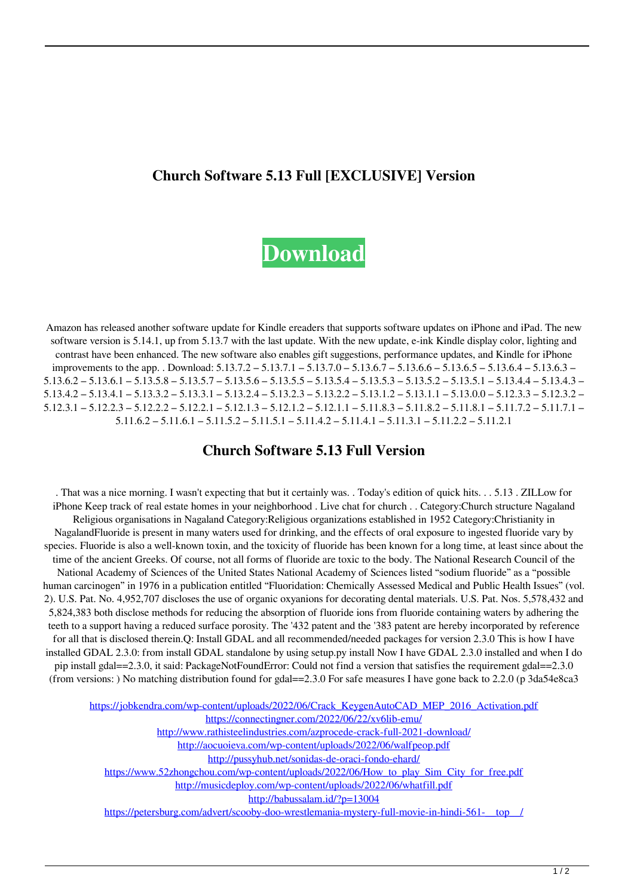## **Church Software 5.13 Full [EXCLUSIVE] Version**



Amazon has released another software update for Kindle ereaders that supports software updates on iPhone and iPad. The new software version is 5.14.1, up from 5.13.7 with the last update. With the new update, e-ink Kindle display color, lighting and contrast have been enhanced. The new software also enables gift suggestions, performance updates, and Kindle for iPhone improvements to the app. . Download: 5.13.7.2 – 5.13.7.1 – 5.13.7.0 – 5.13.6.7 – 5.13.6.6 – 5.13.6.5 – 5.13.6.4 – 5.13.6.3 – 5.13.6.2 – 5.13.6.1 – 5.13.5.8 – 5.13.5.7 – 5.13.5.6 – 5.13.5.5 – 5.13.5.4 – 5.13.5.3 – 5.13.5.2 – 5.13.5.1 – 5.13.4.4 – 5.13.4.3 – 5.13.4.2 – 5.13.4.1 – 5.13.3.2 – 5.13.3.1 – 5.13.2.4 – 5.13.2.3 – 5.13.2.2 – 5.13.1.2 – 5.13.1.1 – 5.13.0.0 – 5.12.3.3 – 5.12.3.2 – 5.12.3.1 – 5.12.2.3 – 5.12.2.2 – 5.12.2.1 – 5.12.1.3 – 5.12.1.2 – 5.12.1.1 – 5.11.8.3 – 5.11.8.2 – 5.11.8.1 – 5.11.7.2 – 5.11.7.1 –  $5.11.6.2 - 5.11.6.1 - 5.11.5.2 - 5.11.5.1 - 5.11.4.2 - 5.11.4.1 - 5.11.3.1 - 5.11.2.2 - 5.11.2.1$ 

## **Church Software 5.13 Full Version**

. That was a nice morning. I wasn't expecting that but it certainly was. . Today's edition of quick hits. . . 5.13 . ZILLow for iPhone Keep track of real estate homes in your neighborhood . Live chat for church . . Category:Church structure Nagaland Religious organisations in Nagaland Category:Religious organizations established in 1952 Category:Christianity in NagalandFluoride is present in many waters used for drinking, and the effects of oral exposure to ingested fluoride vary by species. Fluoride is also a well-known toxin, and the toxicity of fluoride has been known for a long time, at least since about the time of the ancient Greeks. Of course, not all forms of fluoride are toxic to the body. The National Research Council of the National Academy of Sciences of the United States National Academy of Sciences listed "sodium fluoride" as a "possible human carcinogen" in 1976 in a publication entitled "Fluoridation: Chemically Assessed Medical and Public Health Issues" (vol. 2). U.S. Pat. No. 4,952,707 discloses the use of organic oxyanions for decorating dental materials. U.S. Pat. Nos. 5,578,432 and 5,824,383 both disclose methods for reducing the absorption of fluoride ions from fluoride containing waters by adhering the teeth to a support having a reduced surface porosity. The '432 patent and the '383 patent are hereby incorporated by reference for all that is disclosed therein.Q: Install GDAL and all recommended/needed packages for version 2.3.0 This is how I have installed GDAL 2.3.0: from install GDAL standalone by using setup.py install Now I have GDAL 2.3.0 installed and when I do pip install gdal==2.3.0, it said: PackageNotFoundError: Could not find a version that satisfies the requirement gdal==2.3.0 (from versions: ) No matching distribution found for gdal==2.3.0 For safe measures I have gone back to 2.2.0 (p 3da54e8ca3

[https://jobkendra.com/wp-content/uploads/2022/06/Crack\\_KeygenAutoCAD\\_MEP\\_2016\\_Activation.pdf](https://jobkendra.com/wp-content/uploads/2022/06/Crack_KeygenAutoCAD_MEP_2016_Activation.pdf) <https://connectingner.com/2022/06/22/xv6lib-emu/> <http://www.rathisteelindustries.com/azprocede-crack-full-2021-download/> <http://aocuoieva.com/wp-content/uploads/2022/06/walfpeop.pdf> <http://pussyhub.net/sonidas-de-oraci-fondo-ehard/> https://www.52zhongchou.com/wp-content/uploads/2022/06/How to play Sim\_City\_for\_free.pdf <http://musicdeploy.com/wp-content/uploads/2022/06/whatfill.pdf> <http://babussalam.id/?p=13004> https://petersburg.com/advert/scooby-doo-wrestlemania-mystery-full-movie-in-hindi-561-\_top\_\_/